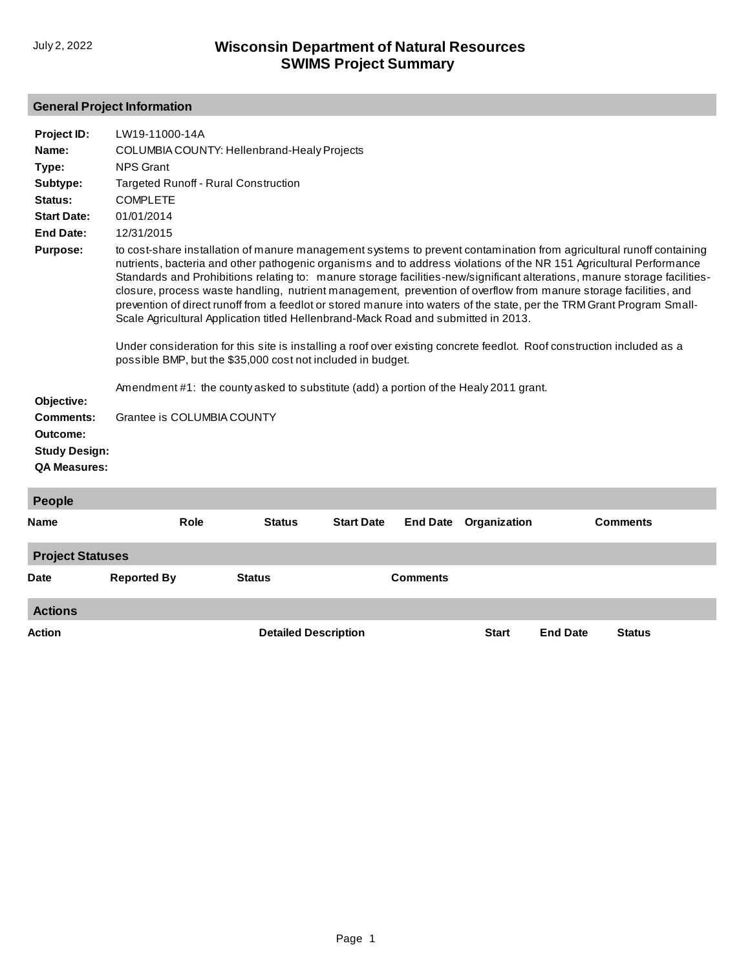# **General Project Information**

| Project ID:                                                                           | LW19-11000-14A                                                                                                                                                                                                                                                           |               |                   |                 |              |                                                                                                                                                                                                                                                                                                                                                                                                                                                                                                                                                                                                                                                                                                                                                  |
|---------------------------------------------------------------------------------------|--------------------------------------------------------------------------------------------------------------------------------------------------------------------------------------------------------------------------------------------------------------------------|---------------|-------------------|-----------------|--------------|--------------------------------------------------------------------------------------------------------------------------------------------------------------------------------------------------------------------------------------------------------------------------------------------------------------------------------------------------------------------------------------------------------------------------------------------------------------------------------------------------------------------------------------------------------------------------------------------------------------------------------------------------------------------------------------------------------------------------------------------------|
| Name:                                                                                 | COLUMBIA COUNTY: Hellenbrand-Healy Projects                                                                                                                                                                                                                              |               |                   |                 |              |                                                                                                                                                                                                                                                                                                                                                                                                                                                                                                                                                                                                                                                                                                                                                  |
| Type:                                                                                 | <b>NPS Grant</b>                                                                                                                                                                                                                                                         |               |                   |                 |              |                                                                                                                                                                                                                                                                                                                                                                                                                                                                                                                                                                                                                                                                                                                                                  |
| Subtype:                                                                              | <b>Targeted Runoff - Rural Construction</b>                                                                                                                                                                                                                              |               |                   |                 |              |                                                                                                                                                                                                                                                                                                                                                                                                                                                                                                                                                                                                                                                                                                                                                  |
| Status:                                                                               | <b>COMPLETE</b>                                                                                                                                                                                                                                                          |               |                   |                 |              |                                                                                                                                                                                                                                                                                                                                                                                                                                                                                                                                                                                                                                                                                                                                                  |
| <b>Start Date:</b>                                                                    | 01/01/2014                                                                                                                                                                                                                                                               |               |                   |                 |              |                                                                                                                                                                                                                                                                                                                                                                                                                                                                                                                                                                                                                                                                                                                                                  |
| <b>End Date:</b>                                                                      | 12/31/2015                                                                                                                                                                                                                                                               |               |                   |                 |              |                                                                                                                                                                                                                                                                                                                                                                                                                                                                                                                                                                                                                                                                                                                                                  |
| <b>Purpose:</b><br>Objective:<br><b>Comments:</b><br>Outcome:<br><b>Study Design:</b> | Scale Agricultural Application titled Hellenbrand-Mack Road and submitted in 2013.<br>possible BMP, but the \$35,000 cost not included in budget.<br>Amendment #1: the county asked to substitute (add) a portion of the Healy 2011 grant.<br>Grantee is COLUMBIA COUNTY |               |                   |                 |              | to cost-share installation of manure management systems to prevent contamination from agricultural runoff containing<br>nutrients, bacteria and other pathogenic organisms and to address violations of the NR 151 Agricultural Performance<br>Standards and Prohibitions relating to: manure storage facilities-new/significant alterations, manure storage facilities-<br>closure, process waste handling, nutrient management, prevention of overflow from manure storage facilities, and<br>prevention of direct runoff from a feedlot or stored manure into waters of the state, per the TRM Grant Program Small-<br>Under consideration for this site is installing a roof over existing concrete feedlot. Roof construction included as a |
| <b>QA Measures:</b>                                                                   |                                                                                                                                                                                                                                                                          |               |                   |                 |              |                                                                                                                                                                                                                                                                                                                                                                                                                                                                                                                                                                                                                                                                                                                                                  |
|                                                                                       |                                                                                                                                                                                                                                                                          |               |                   |                 |              |                                                                                                                                                                                                                                                                                                                                                                                                                                                                                                                                                                                                                                                                                                                                                  |
| People                                                                                |                                                                                                                                                                                                                                                                          |               |                   |                 |              |                                                                                                                                                                                                                                                                                                                                                                                                                                                                                                                                                                                                                                                                                                                                                  |
| Name                                                                                  | <b>Role</b>                                                                                                                                                                                                                                                              | <b>Status</b> | <b>Start Date</b> | <b>End Date</b> | Organization | <b>Comments</b>                                                                                                                                                                                                                                                                                                                                                                                                                                                                                                                                                                                                                                                                                                                                  |
| <b>Project Statuses</b>                                                               |                                                                                                                                                                                                                                                                          |               |                   |                 |              |                                                                                                                                                                                                                                                                                                                                                                                                                                                                                                                                                                                                                                                                                                                                                  |
| <b>Date</b>                                                                           | <b>Reported By</b>                                                                                                                                                                                                                                                       | <b>Status</b> |                   | <b>Comments</b> |              |                                                                                                                                                                                                                                                                                                                                                                                                                                                                                                                                                                                                                                                                                                                                                  |
| <b>Actions</b>                                                                        |                                                                                                                                                                                                                                                                          |               |                   |                 |              |                                                                                                                                                                                                                                                                                                                                                                                                                                                                                                                                                                                                                                                                                                                                                  |

**Action Detailed Description Start End Date Status**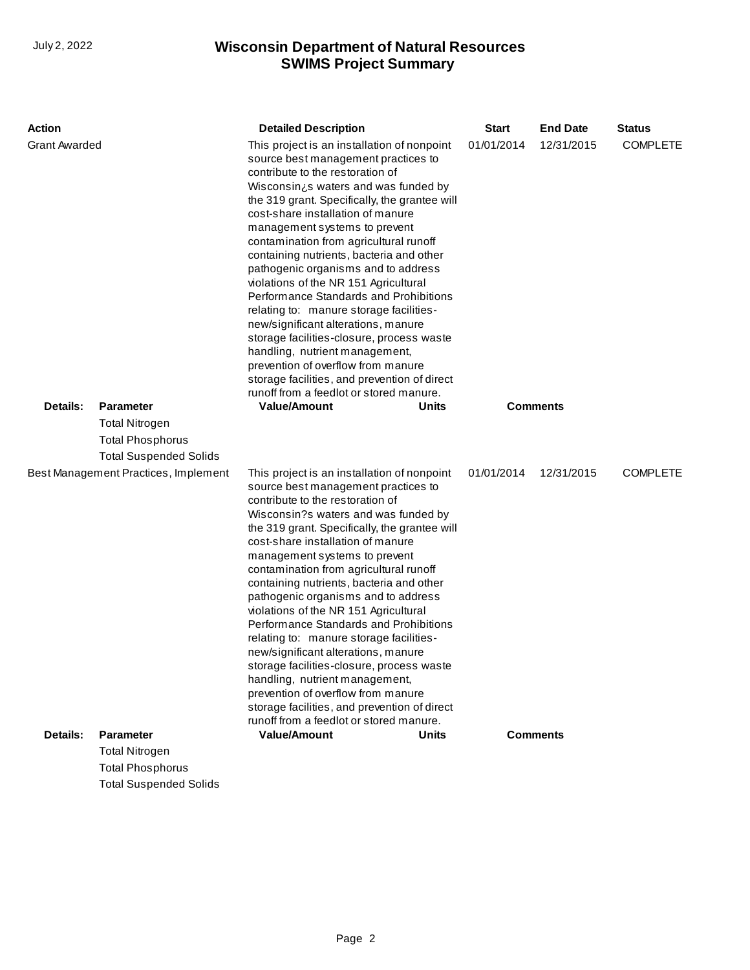| <b>Action</b>                                                                 |                               | <b>Detailed Description</b>                                                                                                                                                                                                                                                                                                                                                                                                                                                                                                                                                                                                                                                                                                                                                                                                              | <b>Start</b> | <b>End Date</b>                                                | <b>Status</b>   |
|-------------------------------------------------------------------------------|-------------------------------|------------------------------------------------------------------------------------------------------------------------------------------------------------------------------------------------------------------------------------------------------------------------------------------------------------------------------------------------------------------------------------------------------------------------------------------------------------------------------------------------------------------------------------------------------------------------------------------------------------------------------------------------------------------------------------------------------------------------------------------------------------------------------------------------------------------------------------------|--------------|----------------------------------------------------------------|-----------------|
| <b>Grant Awarded</b><br>Details:<br><b>Parameter</b><br><b>Total Nitrogen</b> |                               | This project is an installation of nonpoint<br>source best management practices to<br>contribute to the restoration of<br>Wisconsin is waters and was funded by<br>the 319 grant. Specifically, the grantee will<br>cost-share installation of manure<br>management systems to prevent<br>contamination from agricultural runoff<br>containing nutrients, bacteria and other<br>pathogenic organisms and to address<br>violations of the NR 151 Agricultural<br>Performance Standards and Prohibitions<br>relating to: manure storage facilities-<br>new/significant alterations, manure<br>storage facilities-closure, process waste<br>handling, nutrient management,<br>prevention of overflow from manure<br>storage facilities, and prevention of direct<br>runoff from a feedlot or stored manure.<br><b>Value/Amount</b><br>Units |              | <b>COMPLETE</b><br>01/01/2014<br>12/31/2015<br><b>Comments</b> |                 |
|                                                                               | <b>Total Phosphorus</b>       |                                                                                                                                                                                                                                                                                                                                                                                                                                                                                                                                                                                                                                                                                                                                                                                                                                          |              |                                                                |                 |
|                                                                               | <b>Total Suspended Solids</b> |                                                                                                                                                                                                                                                                                                                                                                                                                                                                                                                                                                                                                                                                                                                                                                                                                                          |              |                                                                |                 |
| Best Management Practices, Implement                                          |                               | This project is an installation of nonpoint<br>source best management practices to<br>contribute to the restoration of<br>Wisconsin?s waters and was funded by<br>the 319 grant. Specifically, the grantee will<br>cost-share installation of manure<br>management systems to prevent<br>contamination from agricultural runoff<br>containing nutrients, bacteria and other<br>pathogenic organisms and to address<br>violations of the NR 151 Agricultural<br>Performance Standards and Prohibitions<br>relating to: manure storage facilities-<br>new/significant alterations, manure<br>storage facilities-closure, process waste<br>handling, nutrient management,<br>prevention of overflow from manure<br>storage facilities, and prevention of direct<br>runoff from a feedlot or stored manure.                                  | 01/01/2014   | 12/31/2015                                                     | <b>COMPLETE</b> |
| Details:                                                                      | <b>Parameter</b>              | <b>Value/Amount</b><br>Units                                                                                                                                                                                                                                                                                                                                                                                                                                                                                                                                                                                                                                                                                                                                                                                                             |              | <b>Comments</b>                                                |                 |
|                                                                               | <b>Total Nitrogen</b>         |                                                                                                                                                                                                                                                                                                                                                                                                                                                                                                                                                                                                                                                                                                                                                                                                                                          |              |                                                                |                 |
|                                                                               | Total Dhoephorue              |                                                                                                                                                                                                                                                                                                                                                                                                                                                                                                                                                                                                                                                                                                                                                                                                                                          |              |                                                                |                 |

Total Phosphorus Total Suspended Solids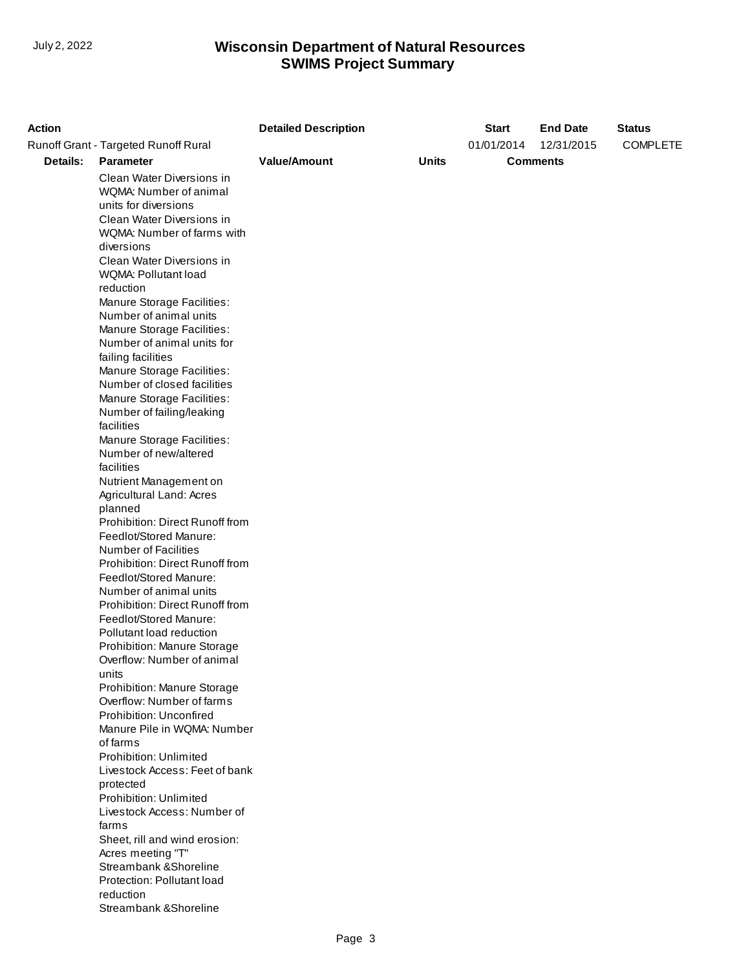| 01/01/2014<br>12/31/2015<br><b>COMPLETE</b><br>Runoff Grant - Targeted Runoff Rural<br>Details:<br><b>Value/Amount</b><br><b>Units</b><br><b>Parameter</b><br><b>Comments</b><br>Clean Water Diversions in<br>WQMA: Number of animal<br>units for diversions<br>Clean Water Diversions in<br>WQMA: Number of farms with<br>diversions<br>Clean Water Diversions in<br>WQMA: Pollutant load<br>reduction<br>Manure Storage Facilities:<br>Number of animal units<br>Manure Storage Facilities:<br>Number of animal units for<br>failing facilities |
|---------------------------------------------------------------------------------------------------------------------------------------------------------------------------------------------------------------------------------------------------------------------------------------------------------------------------------------------------------------------------------------------------------------------------------------------------------------------------------------------------------------------------------------------------|
|                                                                                                                                                                                                                                                                                                                                                                                                                                                                                                                                                   |
|                                                                                                                                                                                                                                                                                                                                                                                                                                                                                                                                                   |
|                                                                                                                                                                                                                                                                                                                                                                                                                                                                                                                                                   |
|                                                                                                                                                                                                                                                                                                                                                                                                                                                                                                                                                   |
|                                                                                                                                                                                                                                                                                                                                                                                                                                                                                                                                                   |
|                                                                                                                                                                                                                                                                                                                                                                                                                                                                                                                                                   |
|                                                                                                                                                                                                                                                                                                                                                                                                                                                                                                                                                   |
|                                                                                                                                                                                                                                                                                                                                                                                                                                                                                                                                                   |
|                                                                                                                                                                                                                                                                                                                                                                                                                                                                                                                                                   |
|                                                                                                                                                                                                                                                                                                                                                                                                                                                                                                                                                   |
|                                                                                                                                                                                                                                                                                                                                                                                                                                                                                                                                                   |
|                                                                                                                                                                                                                                                                                                                                                                                                                                                                                                                                                   |
|                                                                                                                                                                                                                                                                                                                                                                                                                                                                                                                                                   |
|                                                                                                                                                                                                                                                                                                                                                                                                                                                                                                                                                   |
|                                                                                                                                                                                                                                                                                                                                                                                                                                                                                                                                                   |
|                                                                                                                                                                                                                                                                                                                                                                                                                                                                                                                                                   |
| Manure Storage Facilities:                                                                                                                                                                                                                                                                                                                                                                                                                                                                                                                        |
| Number of closed facilities                                                                                                                                                                                                                                                                                                                                                                                                                                                                                                                       |
| Manure Storage Facilities:                                                                                                                                                                                                                                                                                                                                                                                                                                                                                                                        |
| Number of failing/leaking                                                                                                                                                                                                                                                                                                                                                                                                                                                                                                                         |
| facilities                                                                                                                                                                                                                                                                                                                                                                                                                                                                                                                                        |
| Manure Storage Facilities:                                                                                                                                                                                                                                                                                                                                                                                                                                                                                                                        |
| Number of new/altered                                                                                                                                                                                                                                                                                                                                                                                                                                                                                                                             |
| facilities                                                                                                                                                                                                                                                                                                                                                                                                                                                                                                                                        |
| Nutrient Management on                                                                                                                                                                                                                                                                                                                                                                                                                                                                                                                            |
| Agricultural Land: Acres                                                                                                                                                                                                                                                                                                                                                                                                                                                                                                                          |
| planned                                                                                                                                                                                                                                                                                                                                                                                                                                                                                                                                           |
| Prohibition: Direct Runoff from                                                                                                                                                                                                                                                                                                                                                                                                                                                                                                                   |
| Feedlot/Stored Manure:                                                                                                                                                                                                                                                                                                                                                                                                                                                                                                                            |
| Number of Facilities                                                                                                                                                                                                                                                                                                                                                                                                                                                                                                                              |
| Prohibition: Direct Runoff from                                                                                                                                                                                                                                                                                                                                                                                                                                                                                                                   |
| Feedlot/Stored Manure:                                                                                                                                                                                                                                                                                                                                                                                                                                                                                                                            |
| Number of animal units                                                                                                                                                                                                                                                                                                                                                                                                                                                                                                                            |
| Prohibition: Direct Runoff from                                                                                                                                                                                                                                                                                                                                                                                                                                                                                                                   |
| Feedlot/Stored Manure:                                                                                                                                                                                                                                                                                                                                                                                                                                                                                                                            |
| Pollutant load reduction                                                                                                                                                                                                                                                                                                                                                                                                                                                                                                                          |
| Prohibition: Manure Storage                                                                                                                                                                                                                                                                                                                                                                                                                                                                                                                       |
| Overflow: Number of animal                                                                                                                                                                                                                                                                                                                                                                                                                                                                                                                        |
| units                                                                                                                                                                                                                                                                                                                                                                                                                                                                                                                                             |
| Prohibition: Manure Storage                                                                                                                                                                                                                                                                                                                                                                                                                                                                                                                       |
| Overflow: Number of farms                                                                                                                                                                                                                                                                                                                                                                                                                                                                                                                         |
| Prohibition: Unconfired                                                                                                                                                                                                                                                                                                                                                                                                                                                                                                                           |
| Manure Pile in WQMA: Number                                                                                                                                                                                                                                                                                                                                                                                                                                                                                                                       |
| of farms                                                                                                                                                                                                                                                                                                                                                                                                                                                                                                                                          |
| Prohibition: Unlimited                                                                                                                                                                                                                                                                                                                                                                                                                                                                                                                            |
| Livestock Access: Feet of bank                                                                                                                                                                                                                                                                                                                                                                                                                                                                                                                    |
| protected<br>Prohibition: Unlimited                                                                                                                                                                                                                                                                                                                                                                                                                                                                                                               |
| Livestock Access: Number of                                                                                                                                                                                                                                                                                                                                                                                                                                                                                                                       |
| farms                                                                                                                                                                                                                                                                                                                                                                                                                                                                                                                                             |
| Sheet, rill and wind erosion:                                                                                                                                                                                                                                                                                                                                                                                                                                                                                                                     |
| Acres meeting "T"                                                                                                                                                                                                                                                                                                                                                                                                                                                                                                                                 |
| Streambank & Shoreline                                                                                                                                                                                                                                                                                                                                                                                                                                                                                                                            |
| Protection: Pollutant load                                                                                                                                                                                                                                                                                                                                                                                                                                                                                                                        |
| reduction                                                                                                                                                                                                                                                                                                                                                                                                                                                                                                                                         |
| Streambank & Shoreline                                                                                                                                                                                                                                                                                                                                                                                                                                                                                                                            |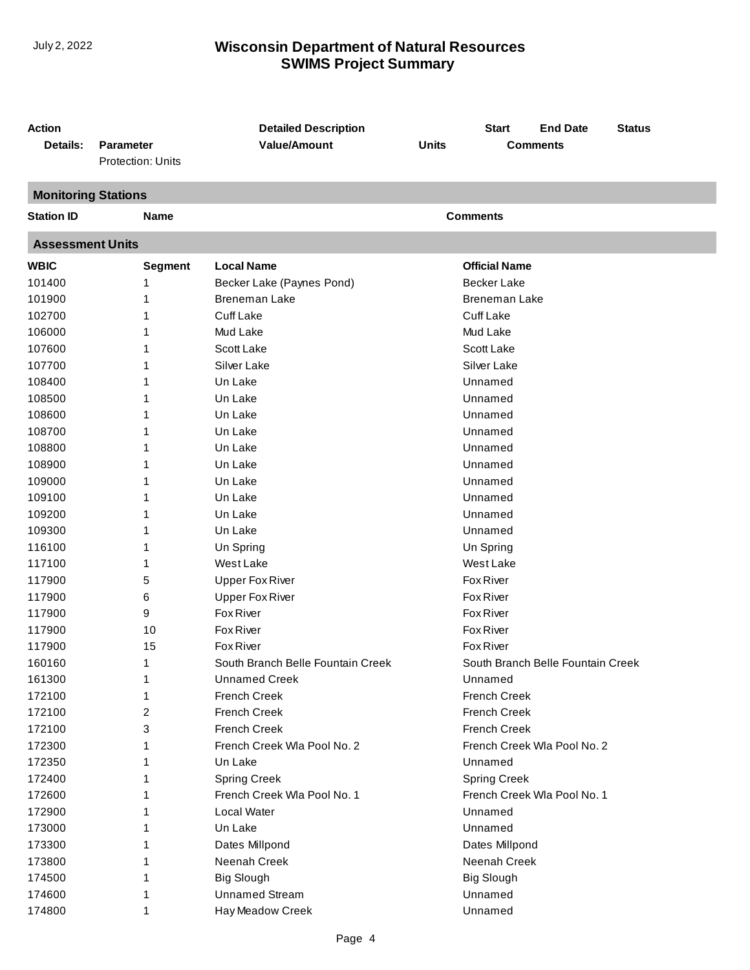| <b>Action</b><br><b>Detailed Description</b><br><b>Start</b>                           | <b>End Date</b><br><b>Status</b>  |  |  |  |  |  |  |  |
|----------------------------------------------------------------------------------------|-----------------------------------|--|--|--|--|--|--|--|
| <b>Value/Amount</b><br><b>Units</b><br>Details:<br><b>Parameter</b><br><b>Comments</b> |                                   |  |  |  |  |  |  |  |
| Protection: Units                                                                      |                                   |  |  |  |  |  |  |  |
| <b>Monitoring Stations</b>                                                             |                                   |  |  |  |  |  |  |  |
| <b>Station ID</b><br><b>Comments</b><br><b>Name</b>                                    |                                   |  |  |  |  |  |  |  |
| <b>Assessment Units</b>                                                                |                                   |  |  |  |  |  |  |  |
| <b>WBIC</b><br><b>Local Name</b><br><b>Official Name</b><br><b>Segment</b>             |                                   |  |  |  |  |  |  |  |
| 101400<br><b>Becker Lake</b><br>1<br>Becker Lake (Paynes Pond)                         |                                   |  |  |  |  |  |  |  |
| <b>Breneman Lake</b><br><b>Breneman Lake</b><br>101900<br>1                            |                                   |  |  |  |  |  |  |  |
| <b>Cuff Lake</b><br><b>Cuff Lake</b><br>102700<br>1                                    |                                   |  |  |  |  |  |  |  |
| 106000<br>Mud Lake<br>Mud Lake<br>1                                                    |                                   |  |  |  |  |  |  |  |
| Scott Lake<br>Scott Lake<br>107600<br>1                                                |                                   |  |  |  |  |  |  |  |
| Silver Lake<br>Silver Lake<br>107700<br>1                                              |                                   |  |  |  |  |  |  |  |
| Un Lake<br>108400<br>Unnamed<br>1                                                      |                                   |  |  |  |  |  |  |  |
| 108500<br>Un Lake<br>Unnamed<br>1                                                      |                                   |  |  |  |  |  |  |  |
| 108600<br>Un Lake<br>Unnamed<br>1                                                      |                                   |  |  |  |  |  |  |  |
| 108700<br>Un Lake<br>Unnamed                                                           |                                   |  |  |  |  |  |  |  |
| Un Lake<br>Unnamed<br>108800<br>1                                                      |                                   |  |  |  |  |  |  |  |
| 108900<br>Un Lake<br>Unnamed<br>1                                                      |                                   |  |  |  |  |  |  |  |
| 109000<br>Un Lake<br>Unnamed<br>1                                                      |                                   |  |  |  |  |  |  |  |
| 109100<br>Un Lake<br>Unnamed<br>1                                                      |                                   |  |  |  |  |  |  |  |
| 109200<br>Un Lake<br>Unnamed<br>1                                                      |                                   |  |  |  |  |  |  |  |
| 109300<br>Un Lake<br>Unnamed<br>1                                                      |                                   |  |  |  |  |  |  |  |
| 116100<br>Un Spring<br>Un Spring<br>1                                                  |                                   |  |  |  |  |  |  |  |
| 117100<br>West Lake<br>West Lake<br>1                                                  |                                   |  |  |  |  |  |  |  |
| <b>Fox River</b><br>117900<br>5<br><b>Upper Fox River</b>                              |                                   |  |  |  |  |  |  |  |
| <b>Fox River</b><br>117900<br>6<br><b>Upper Fox River</b>                              |                                   |  |  |  |  |  |  |  |
| 117900<br>9<br>Fox River<br><b>Fox River</b>                                           |                                   |  |  |  |  |  |  |  |
| 10<br><b>Fox River</b><br><b>Fox River</b><br>117900                                   |                                   |  |  |  |  |  |  |  |
| 15<br><b>Fox River</b><br><b>Fox River</b><br>117900                                   |                                   |  |  |  |  |  |  |  |
| 160160<br>1<br>South Branch Belle Fountain Creek                                       | South Branch Belle Fountain Creek |  |  |  |  |  |  |  |
| 161300<br><b>Unnamed Creek</b><br>Unnamed<br>1                                         |                                   |  |  |  |  |  |  |  |
| 172100<br><b>French Creek</b><br>French Creek<br>1                                     |                                   |  |  |  |  |  |  |  |
| 172100<br><b>French Creek</b><br><b>French Creek</b><br>2                              |                                   |  |  |  |  |  |  |  |
| 172100<br>3<br><b>French Creek</b><br><b>French Creek</b>                              |                                   |  |  |  |  |  |  |  |
| 172300<br>French Creek Wla Pool No. 2<br>French Creek Wla Pool No. 2                   |                                   |  |  |  |  |  |  |  |
| 172350<br>Un Lake<br>Unnamed                                                           |                                   |  |  |  |  |  |  |  |
| 172400<br><b>Spring Creek</b><br><b>Spring Creek</b>                                   |                                   |  |  |  |  |  |  |  |
| 172600<br>French Creek Wla Pool No. 1<br>French Creek Wla Pool No. 1                   |                                   |  |  |  |  |  |  |  |
| 172900<br>Local Water<br>Unnamed                                                       |                                   |  |  |  |  |  |  |  |
| 173000<br>Un Lake<br>Unnamed                                                           |                                   |  |  |  |  |  |  |  |
| 173300<br>Dates Millpond<br>Dates Millpond<br>1                                        |                                   |  |  |  |  |  |  |  |
| 173800<br>Neenah Creek<br>Neenah Creek                                                 |                                   |  |  |  |  |  |  |  |
| 174500<br><b>Big Slough</b><br><b>Big Slough</b><br>1                                  |                                   |  |  |  |  |  |  |  |
| <b>Unnamed Stream</b><br>174600<br>Unnamed                                             |                                   |  |  |  |  |  |  |  |
| 174800<br>Hay Meadow Creek<br>Unnamed<br>1                                             |                                   |  |  |  |  |  |  |  |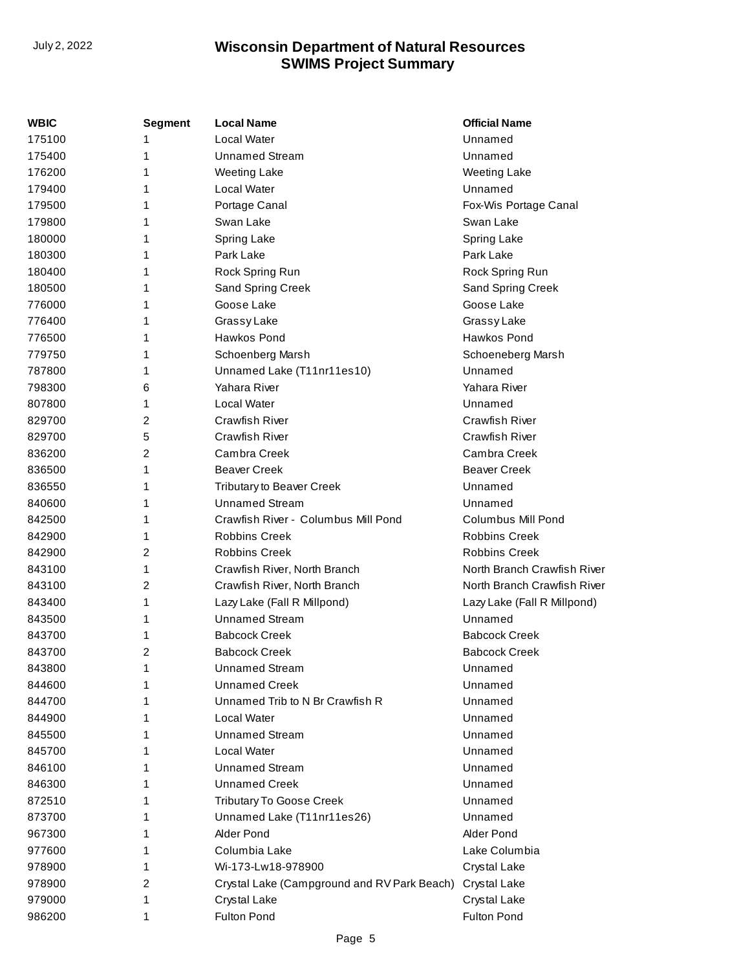| WBIC   | <b>Segment</b> | <b>Local Name</b>                           | <b>Official Name</b>        |
|--------|----------------|---------------------------------------------|-----------------------------|
| 175100 | 1              | Local Water                                 | Unnamed                     |
| 175400 | 1              | <b>Unnamed Stream</b>                       | Unnamed                     |
| 176200 | 1              | <b>Weeting Lake</b>                         | <b>Weeting Lake</b>         |
| 179400 | 1              | Local Water                                 | Unnamed                     |
| 179500 | 1              | Portage Canal                               | Fox-Wis Portage Canal       |
| 179800 | 1              | Swan Lake                                   | Swan Lake                   |
| 180000 | 1              | Spring Lake                                 | Spring Lake                 |
| 180300 | 1              | Park Lake                                   | Park Lake                   |
| 180400 | 1              | Rock Spring Run                             | Rock Spring Run             |
| 180500 | 1              | Sand Spring Creek                           | Sand Spring Creek           |
| 776000 | 1              | Goose Lake                                  | Goose Lake                  |
| 776400 | 1              | Grassy Lake                                 | Grassy Lake                 |
| 776500 | 1              | Hawkos Pond                                 | Hawkos Pond                 |
| 779750 | 1              | Schoenberg Marsh                            | Schoeneberg Marsh           |
| 787800 | 1              | Unnamed Lake (T11nr11es10)                  | Unnamed                     |
| 798300 | 6              | Yahara River                                | Yahara River                |
| 807800 | 1              | <b>Local Water</b>                          | Unnamed                     |
| 829700 | $\overline{2}$ | <b>Crawfish River</b>                       | Crawfish River              |
| 829700 | 5              | <b>Crawfish River</b>                       | Crawfish River              |
| 836200 | 2              | Cambra Creek                                | Cambra Creek                |
| 836500 | 1              | <b>Beaver Creek</b>                         | <b>Beaver Creek</b>         |
| 836550 | 1              | <b>Tributary to Beaver Creek</b>            | Unnamed                     |
| 840600 | 1              | <b>Unnamed Stream</b>                       | Unnamed                     |
| 842500 | 1              | Crawfish River - Columbus Mill Pond         | Columbus Mill Pond          |
| 842900 | 1              | <b>Robbins Creek</b>                        | <b>Robbins Creek</b>        |
| 842900 | 2              | Robbins Creek                               | <b>Robbins Creek</b>        |
| 843100 | 1              | Crawfish River, North Branch                | North Branch Crawfish River |
| 843100 | 2              | Crawfish River, North Branch                | North Branch Crawfish River |
| 843400 | 1              | Lazy Lake (Fall R Millpond)                 | Lazy Lake (Fall R Millpond) |
| 843500 | 1              | <b>Unnamed Stream</b>                       | Unnamed                     |
| 843700 | 1              | <b>Babcock Creek</b>                        | <b>Babcock Creek</b>        |
| 843700 | 2              | <b>Babcock Creek</b>                        | <b>Babcock Creek</b>        |
| 843800 | 1              | <b>Unnamed Stream</b>                       | Unnamed                     |
| 844600 |                | <b>Unnamed Creek</b>                        | Unnamed                     |
| 844700 |                | Unnamed Trib to N Br Crawfish R             | Unnamed                     |
| 844900 |                | Local Water                                 | Unnamed                     |
| 845500 |                | <b>Unnamed Stream</b>                       | Unnamed                     |
| 845700 |                | Local Water                                 | Unnamed                     |
| 846100 |                | <b>Unnamed Stream</b>                       | Unnamed                     |
| 846300 |                | <b>Unnamed Creek</b>                        | Unnamed                     |
| 872510 |                | <b>Tributary To Goose Creek</b>             | Unnamed                     |
| 873700 |                | Unnamed Lake (T11nr11es26)                  | Unnamed                     |
| 967300 |                | Alder Pond                                  | Alder Pond                  |
| 977600 |                | Columbia Lake                               | Lake Columbia               |
| 978900 |                | Wi-173-Lw18-978900                          | Crystal Lake                |
| 978900 | 2              | Crystal Lake (Campground and RV Park Beach) | Crystal Lake                |
| 979000 | 1              | Crystal Lake                                | Crystal Lake                |
| 986200 | 1              | Fulton Pond                                 | Fulton Pond                 |
|        |                |                                             |                             |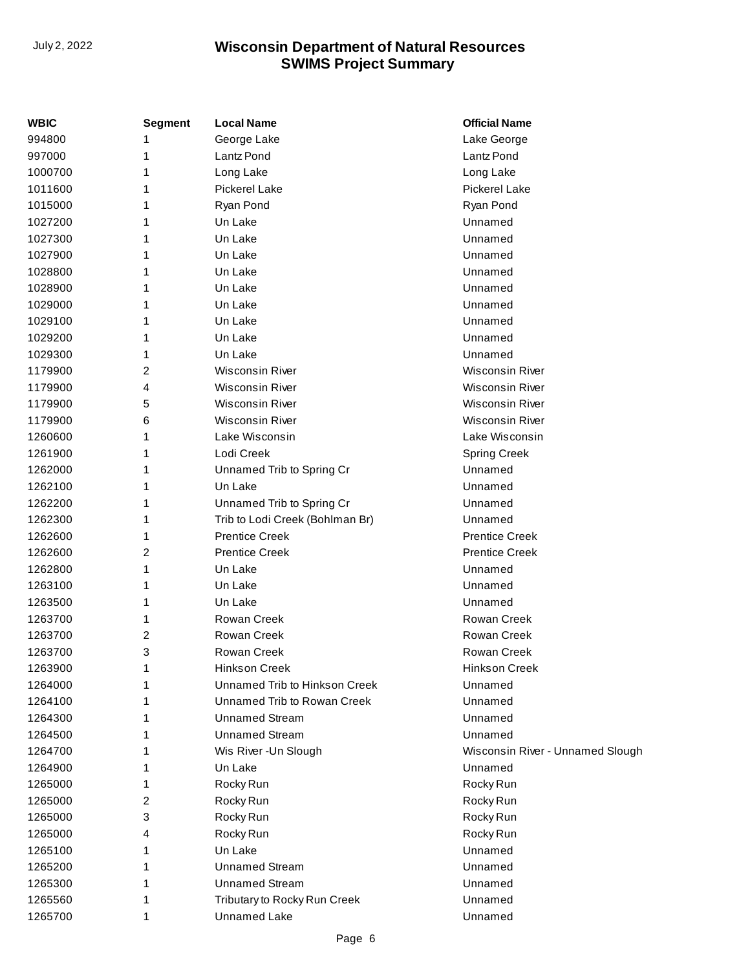| Lake George<br>994800<br>George Lake<br>1<br>Lantz Pond<br>997000<br>Lantz Pond<br>1<br>1000700<br>Long Lake<br>Long Lake<br>1<br>Pickerel Lake<br>Pickerel Lake<br>1011600<br>1<br>1015000<br>Ryan Pond<br>Ryan Pond<br>1<br>Un Lake<br>Unnamed<br>1027200<br>1<br>Un Lake<br>Unnamed<br>1027300<br>1<br>1027900<br>Un Lake<br>Unnamed<br>1<br>Unnamed<br>1028800<br>Un Lake<br>1<br>Un Lake<br>Unnamed<br>1028900<br>1<br>Unnamed<br>1029000<br>Un Lake<br>1<br>1029100<br>Un Lake<br>Unnamed<br>1<br>1029200<br>Un Lake<br>Unnamed<br>1<br>Unnamed<br>1029300<br>Un Lake<br>1<br>2<br><b>Wisconsin River</b><br><b>Wisconsin River</b><br>1179900<br><b>Wisconsin River</b><br><b>Wisconsin River</b><br>1179900<br>4<br><b>Wisconsin River</b><br><b>Wisconsin River</b><br>1179900<br>5<br><b>Wisconsin River</b><br><b>Wisconsin River</b><br>1179900<br>6<br>Lake Wisconsin<br>Lake Wisconsin<br>1260600<br>1<br>Lodi Creek<br><b>Spring Creek</b><br>1261900<br>1<br>Unnamed<br>1262000<br>Unnamed Trib to Spring Cr<br>1<br>Un Lake<br>Unnamed<br>1262100<br>1<br>Unnamed<br>1262200<br>1<br>Unnamed Trib to Spring Cr<br>1262300<br>Trib to Lodi Creek (Bohlman Br)<br>Unnamed<br>1<br><b>Prentice Creek</b><br><b>Prentice Creek</b><br>1262600<br>1<br><b>Prentice Creek</b><br><b>Prentice Creek</b><br>2<br>1262600<br>1262800<br>1<br>Un Lake<br>Unnamed<br>Un Lake<br>Unnamed<br>1263100<br>1<br>1263500<br>Un Lake<br>Unnamed<br>1<br>Rowan Creek<br>Rowan Creek<br>1263700<br>1<br>Rowan Creek<br>Rowan Creek<br>1263700<br>2<br>3<br>Rowan Creek<br>Rowan Creek<br>1263700<br>1263900<br>1<br><b>Hinkson Creek</b><br>Hinkson Creek<br>Unnamed Trib to Hinkson Creek<br>1264000<br>Unnamed<br>1<br>Unnamed Trib to Rowan Creek<br>Unnamed<br>1264100<br>1<br><b>Unnamed Stream</b><br>Unnamed<br>1264300<br>1<br><b>Unnamed Stream</b><br>Unnamed<br>1264500<br>1<br>Wis River - Un Slough<br>1264700<br>Wisconsin River - Unnamed Slough<br>1<br>1264900<br>Un Lake<br>Unnamed<br>1<br>1265000<br>Rocky Run<br>Rocky Run<br>1<br>1265000<br>2<br>Rocky Run<br>Rocky Run<br>3<br>1265000<br>Rocky Run<br>Rocky Run<br>1265000<br>Rocky Run<br>Rocky Run<br>4<br>Un Lake<br>Unnamed<br>1265100<br>1<br><b>Unnamed Stream</b><br>Unnamed<br>1265200<br>1<br><b>Unnamed Stream</b><br>Unnamed<br>1265300<br>1<br>Tributary to Rocky Run Creek<br>Unnamed<br>1265560<br>1<br><b>Unnamed Lake</b><br>Unnamed<br>1265700<br>1 | <b>WBIC</b> | <b>Segment</b> | <b>Local Name</b> | <b>Official Name</b> |
|--------------------------------------------------------------------------------------------------------------------------------------------------------------------------------------------------------------------------------------------------------------------------------------------------------------------------------------------------------------------------------------------------------------------------------------------------------------------------------------------------------------------------------------------------------------------------------------------------------------------------------------------------------------------------------------------------------------------------------------------------------------------------------------------------------------------------------------------------------------------------------------------------------------------------------------------------------------------------------------------------------------------------------------------------------------------------------------------------------------------------------------------------------------------------------------------------------------------------------------------------------------------------------------------------------------------------------------------------------------------------------------------------------------------------------------------------------------------------------------------------------------------------------------------------------------------------------------------------------------------------------------------------------------------------------------------------------------------------------------------------------------------------------------------------------------------------------------------------------------------------------------------------------------------------------------------------------------------------------------------------------------------------------------------------------------------------------------------------------------------------------------------------------------------------------------------------------------------------------------------------------------------------------------------------------------------------------------------------------------------------------------------------------------------------------------------|-------------|----------------|-------------------|----------------------|
|                                                                                                                                                                                                                                                                                                                                                                                                                                                                                                                                                                                                                                                                                                                                                                                                                                                                                                                                                                                                                                                                                                                                                                                                                                                                                                                                                                                                                                                                                                                                                                                                                                                                                                                                                                                                                                                                                                                                                                                                                                                                                                                                                                                                                                                                                                                                                                                                                                            |             |                |                   |                      |
|                                                                                                                                                                                                                                                                                                                                                                                                                                                                                                                                                                                                                                                                                                                                                                                                                                                                                                                                                                                                                                                                                                                                                                                                                                                                                                                                                                                                                                                                                                                                                                                                                                                                                                                                                                                                                                                                                                                                                                                                                                                                                                                                                                                                                                                                                                                                                                                                                                            |             |                |                   |                      |
|                                                                                                                                                                                                                                                                                                                                                                                                                                                                                                                                                                                                                                                                                                                                                                                                                                                                                                                                                                                                                                                                                                                                                                                                                                                                                                                                                                                                                                                                                                                                                                                                                                                                                                                                                                                                                                                                                                                                                                                                                                                                                                                                                                                                                                                                                                                                                                                                                                            |             |                |                   |                      |
|                                                                                                                                                                                                                                                                                                                                                                                                                                                                                                                                                                                                                                                                                                                                                                                                                                                                                                                                                                                                                                                                                                                                                                                                                                                                                                                                                                                                                                                                                                                                                                                                                                                                                                                                                                                                                                                                                                                                                                                                                                                                                                                                                                                                                                                                                                                                                                                                                                            |             |                |                   |                      |
|                                                                                                                                                                                                                                                                                                                                                                                                                                                                                                                                                                                                                                                                                                                                                                                                                                                                                                                                                                                                                                                                                                                                                                                                                                                                                                                                                                                                                                                                                                                                                                                                                                                                                                                                                                                                                                                                                                                                                                                                                                                                                                                                                                                                                                                                                                                                                                                                                                            |             |                |                   |                      |
|                                                                                                                                                                                                                                                                                                                                                                                                                                                                                                                                                                                                                                                                                                                                                                                                                                                                                                                                                                                                                                                                                                                                                                                                                                                                                                                                                                                                                                                                                                                                                                                                                                                                                                                                                                                                                                                                                                                                                                                                                                                                                                                                                                                                                                                                                                                                                                                                                                            |             |                |                   |                      |
|                                                                                                                                                                                                                                                                                                                                                                                                                                                                                                                                                                                                                                                                                                                                                                                                                                                                                                                                                                                                                                                                                                                                                                                                                                                                                                                                                                                                                                                                                                                                                                                                                                                                                                                                                                                                                                                                                                                                                                                                                                                                                                                                                                                                                                                                                                                                                                                                                                            |             |                |                   |                      |
|                                                                                                                                                                                                                                                                                                                                                                                                                                                                                                                                                                                                                                                                                                                                                                                                                                                                                                                                                                                                                                                                                                                                                                                                                                                                                                                                                                                                                                                                                                                                                                                                                                                                                                                                                                                                                                                                                                                                                                                                                                                                                                                                                                                                                                                                                                                                                                                                                                            |             |                |                   |                      |
|                                                                                                                                                                                                                                                                                                                                                                                                                                                                                                                                                                                                                                                                                                                                                                                                                                                                                                                                                                                                                                                                                                                                                                                                                                                                                                                                                                                                                                                                                                                                                                                                                                                                                                                                                                                                                                                                                                                                                                                                                                                                                                                                                                                                                                                                                                                                                                                                                                            |             |                |                   |                      |
|                                                                                                                                                                                                                                                                                                                                                                                                                                                                                                                                                                                                                                                                                                                                                                                                                                                                                                                                                                                                                                                                                                                                                                                                                                                                                                                                                                                                                                                                                                                                                                                                                                                                                                                                                                                                                                                                                                                                                                                                                                                                                                                                                                                                                                                                                                                                                                                                                                            |             |                |                   |                      |
|                                                                                                                                                                                                                                                                                                                                                                                                                                                                                                                                                                                                                                                                                                                                                                                                                                                                                                                                                                                                                                                                                                                                                                                                                                                                                                                                                                                                                                                                                                                                                                                                                                                                                                                                                                                                                                                                                                                                                                                                                                                                                                                                                                                                                                                                                                                                                                                                                                            |             |                |                   |                      |
|                                                                                                                                                                                                                                                                                                                                                                                                                                                                                                                                                                                                                                                                                                                                                                                                                                                                                                                                                                                                                                                                                                                                                                                                                                                                                                                                                                                                                                                                                                                                                                                                                                                                                                                                                                                                                                                                                                                                                                                                                                                                                                                                                                                                                                                                                                                                                                                                                                            |             |                |                   |                      |
|                                                                                                                                                                                                                                                                                                                                                                                                                                                                                                                                                                                                                                                                                                                                                                                                                                                                                                                                                                                                                                                                                                                                                                                                                                                                                                                                                                                                                                                                                                                                                                                                                                                                                                                                                                                                                                                                                                                                                                                                                                                                                                                                                                                                                                                                                                                                                                                                                                            |             |                |                   |                      |
|                                                                                                                                                                                                                                                                                                                                                                                                                                                                                                                                                                                                                                                                                                                                                                                                                                                                                                                                                                                                                                                                                                                                                                                                                                                                                                                                                                                                                                                                                                                                                                                                                                                                                                                                                                                                                                                                                                                                                                                                                                                                                                                                                                                                                                                                                                                                                                                                                                            |             |                |                   |                      |
|                                                                                                                                                                                                                                                                                                                                                                                                                                                                                                                                                                                                                                                                                                                                                                                                                                                                                                                                                                                                                                                                                                                                                                                                                                                                                                                                                                                                                                                                                                                                                                                                                                                                                                                                                                                                                                                                                                                                                                                                                                                                                                                                                                                                                                                                                                                                                                                                                                            |             |                |                   |                      |
|                                                                                                                                                                                                                                                                                                                                                                                                                                                                                                                                                                                                                                                                                                                                                                                                                                                                                                                                                                                                                                                                                                                                                                                                                                                                                                                                                                                                                                                                                                                                                                                                                                                                                                                                                                                                                                                                                                                                                                                                                                                                                                                                                                                                                                                                                                                                                                                                                                            |             |                |                   |                      |
|                                                                                                                                                                                                                                                                                                                                                                                                                                                                                                                                                                                                                                                                                                                                                                                                                                                                                                                                                                                                                                                                                                                                                                                                                                                                                                                                                                                                                                                                                                                                                                                                                                                                                                                                                                                                                                                                                                                                                                                                                                                                                                                                                                                                                                                                                                                                                                                                                                            |             |                |                   |                      |
|                                                                                                                                                                                                                                                                                                                                                                                                                                                                                                                                                                                                                                                                                                                                                                                                                                                                                                                                                                                                                                                                                                                                                                                                                                                                                                                                                                                                                                                                                                                                                                                                                                                                                                                                                                                                                                                                                                                                                                                                                                                                                                                                                                                                                                                                                                                                                                                                                                            |             |                |                   |                      |
|                                                                                                                                                                                                                                                                                                                                                                                                                                                                                                                                                                                                                                                                                                                                                                                                                                                                                                                                                                                                                                                                                                                                                                                                                                                                                                                                                                                                                                                                                                                                                                                                                                                                                                                                                                                                                                                                                                                                                                                                                                                                                                                                                                                                                                                                                                                                                                                                                                            |             |                |                   |                      |
|                                                                                                                                                                                                                                                                                                                                                                                                                                                                                                                                                                                                                                                                                                                                                                                                                                                                                                                                                                                                                                                                                                                                                                                                                                                                                                                                                                                                                                                                                                                                                                                                                                                                                                                                                                                                                                                                                                                                                                                                                                                                                                                                                                                                                                                                                                                                                                                                                                            |             |                |                   |                      |
|                                                                                                                                                                                                                                                                                                                                                                                                                                                                                                                                                                                                                                                                                                                                                                                                                                                                                                                                                                                                                                                                                                                                                                                                                                                                                                                                                                                                                                                                                                                                                                                                                                                                                                                                                                                                                                                                                                                                                                                                                                                                                                                                                                                                                                                                                                                                                                                                                                            |             |                |                   |                      |
|                                                                                                                                                                                                                                                                                                                                                                                                                                                                                                                                                                                                                                                                                                                                                                                                                                                                                                                                                                                                                                                                                                                                                                                                                                                                                                                                                                                                                                                                                                                                                                                                                                                                                                                                                                                                                                                                                                                                                                                                                                                                                                                                                                                                                                                                                                                                                                                                                                            |             |                |                   |                      |
|                                                                                                                                                                                                                                                                                                                                                                                                                                                                                                                                                                                                                                                                                                                                                                                                                                                                                                                                                                                                                                                                                                                                                                                                                                                                                                                                                                                                                                                                                                                                                                                                                                                                                                                                                                                                                                                                                                                                                                                                                                                                                                                                                                                                                                                                                                                                                                                                                                            |             |                |                   |                      |
|                                                                                                                                                                                                                                                                                                                                                                                                                                                                                                                                                                                                                                                                                                                                                                                                                                                                                                                                                                                                                                                                                                                                                                                                                                                                                                                                                                                                                                                                                                                                                                                                                                                                                                                                                                                                                                                                                                                                                                                                                                                                                                                                                                                                                                                                                                                                                                                                                                            |             |                |                   |                      |
|                                                                                                                                                                                                                                                                                                                                                                                                                                                                                                                                                                                                                                                                                                                                                                                                                                                                                                                                                                                                                                                                                                                                                                                                                                                                                                                                                                                                                                                                                                                                                                                                                                                                                                                                                                                                                                                                                                                                                                                                                                                                                                                                                                                                                                                                                                                                                                                                                                            |             |                |                   |                      |
|                                                                                                                                                                                                                                                                                                                                                                                                                                                                                                                                                                                                                                                                                                                                                                                                                                                                                                                                                                                                                                                                                                                                                                                                                                                                                                                                                                                                                                                                                                                                                                                                                                                                                                                                                                                                                                                                                                                                                                                                                                                                                                                                                                                                                                                                                                                                                                                                                                            |             |                |                   |                      |
|                                                                                                                                                                                                                                                                                                                                                                                                                                                                                                                                                                                                                                                                                                                                                                                                                                                                                                                                                                                                                                                                                                                                                                                                                                                                                                                                                                                                                                                                                                                                                                                                                                                                                                                                                                                                                                                                                                                                                                                                                                                                                                                                                                                                                                                                                                                                                                                                                                            |             |                |                   |                      |
|                                                                                                                                                                                                                                                                                                                                                                                                                                                                                                                                                                                                                                                                                                                                                                                                                                                                                                                                                                                                                                                                                                                                                                                                                                                                                                                                                                                                                                                                                                                                                                                                                                                                                                                                                                                                                                                                                                                                                                                                                                                                                                                                                                                                                                                                                                                                                                                                                                            |             |                |                   |                      |
|                                                                                                                                                                                                                                                                                                                                                                                                                                                                                                                                                                                                                                                                                                                                                                                                                                                                                                                                                                                                                                                                                                                                                                                                                                                                                                                                                                                                                                                                                                                                                                                                                                                                                                                                                                                                                                                                                                                                                                                                                                                                                                                                                                                                                                                                                                                                                                                                                                            |             |                |                   |                      |
|                                                                                                                                                                                                                                                                                                                                                                                                                                                                                                                                                                                                                                                                                                                                                                                                                                                                                                                                                                                                                                                                                                                                                                                                                                                                                                                                                                                                                                                                                                                                                                                                                                                                                                                                                                                                                                                                                                                                                                                                                                                                                                                                                                                                                                                                                                                                                                                                                                            |             |                |                   |                      |
|                                                                                                                                                                                                                                                                                                                                                                                                                                                                                                                                                                                                                                                                                                                                                                                                                                                                                                                                                                                                                                                                                                                                                                                                                                                                                                                                                                                                                                                                                                                                                                                                                                                                                                                                                                                                                                                                                                                                                                                                                                                                                                                                                                                                                                                                                                                                                                                                                                            |             |                |                   |                      |
|                                                                                                                                                                                                                                                                                                                                                                                                                                                                                                                                                                                                                                                                                                                                                                                                                                                                                                                                                                                                                                                                                                                                                                                                                                                                                                                                                                                                                                                                                                                                                                                                                                                                                                                                                                                                                                                                                                                                                                                                                                                                                                                                                                                                                                                                                                                                                                                                                                            |             |                |                   |                      |
|                                                                                                                                                                                                                                                                                                                                                                                                                                                                                                                                                                                                                                                                                                                                                                                                                                                                                                                                                                                                                                                                                                                                                                                                                                                                                                                                                                                                                                                                                                                                                                                                                                                                                                                                                                                                                                                                                                                                                                                                                                                                                                                                                                                                                                                                                                                                                                                                                                            |             |                |                   |                      |
|                                                                                                                                                                                                                                                                                                                                                                                                                                                                                                                                                                                                                                                                                                                                                                                                                                                                                                                                                                                                                                                                                                                                                                                                                                                                                                                                                                                                                                                                                                                                                                                                                                                                                                                                                                                                                                                                                                                                                                                                                                                                                                                                                                                                                                                                                                                                                                                                                                            |             |                |                   |                      |
|                                                                                                                                                                                                                                                                                                                                                                                                                                                                                                                                                                                                                                                                                                                                                                                                                                                                                                                                                                                                                                                                                                                                                                                                                                                                                                                                                                                                                                                                                                                                                                                                                                                                                                                                                                                                                                                                                                                                                                                                                                                                                                                                                                                                                                                                                                                                                                                                                                            |             |                |                   |                      |
|                                                                                                                                                                                                                                                                                                                                                                                                                                                                                                                                                                                                                                                                                                                                                                                                                                                                                                                                                                                                                                                                                                                                                                                                                                                                                                                                                                                                                                                                                                                                                                                                                                                                                                                                                                                                                                                                                                                                                                                                                                                                                                                                                                                                                                                                                                                                                                                                                                            |             |                |                   |                      |
|                                                                                                                                                                                                                                                                                                                                                                                                                                                                                                                                                                                                                                                                                                                                                                                                                                                                                                                                                                                                                                                                                                                                                                                                                                                                                                                                                                                                                                                                                                                                                                                                                                                                                                                                                                                                                                                                                                                                                                                                                                                                                                                                                                                                                                                                                                                                                                                                                                            |             |                |                   |                      |
|                                                                                                                                                                                                                                                                                                                                                                                                                                                                                                                                                                                                                                                                                                                                                                                                                                                                                                                                                                                                                                                                                                                                                                                                                                                                                                                                                                                                                                                                                                                                                                                                                                                                                                                                                                                                                                                                                                                                                                                                                                                                                                                                                                                                                                                                                                                                                                                                                                            |             |                |                   |                      |
|                                                                                                                                                                                                                                                                                                                                                                                                                                                                                                                                                                                                                                                                                                                                                                                                                                                                                                                                                                                                                                                                                                                                                                                                                                                                                                                                                                                                                                                                                                                                                                                                                                                                                                                                                                                                                                                                                                                                                                                                                                                                                                                                                                                                                                                                                                                                                                                                                                            |             |                |                   |                      |
|                                                                                                                                                                                                                                                                                                                                                                                                                                                                                                                                                                                                                                                                                                                                                                                                                                                                                                                                                                                                                                                                                                                                                                                                                                                                                                                                                                                                                                                                                                                                                                                                                                                                                                                                                                                                                                                                                                                                                                                                                                                                                                                                                                                                                                                                                                                                                                                                                                            |             |                |                   |                      |
|                                                                                                                                                                                                                                                                                                                                                                                                                                                                                                                                                                                                                                                                                                                                                                                                                                                                                                                                                                                                                                                                                                                                                                                                                                                                                                                                                                                                                                                                                                                                                                                                                                                                                                                                                                                                                                                                                                                                                                                                                                                                                                                                                                                                                                                                                                                                                                                                                                            |             |                |                   |                      |
|                                                                                                                                                                                                                                                                                                                                                                                                                                                                                                                                                                                                                                                                                                                                                                                                                                                                                                                                                                                                                                                                                                                                                                                                                                                                                                                                                                                                                                                                                                                                                                                                                                                                                                                                                                                                                                                                                                                                                                                                                                                                                                                                                                                                                                                                                                                                                                                                                                            |             |                |                   |                      |
|                                                                                                                                                                                                                                                                                                                                                                                                                                                                                                                                                                                                                                                                                                                                                                                                                                                                                                                                                                                                                                                                                                                                                                                                                                                                                                                                                                                                                                                                                                                                                                                                                                                                                                                                                                                                                                                                                                                                                                                                                                                                                                                                                                                                                                                                                                                                                                                                                                            |             |                |                   |                      |
|                                                                                                                                                                                                                                                                                                                                                                                                                                                                                                                                                                                                                                                                                                                                                                                                                                                                                                                                                                                                                                                                                                                                                                                                                                                                                                                                                                                                                                                                                                                                                                                                                                                                                                                                                                                                                                                                                                                                                                                                                                                                                                                                                                                                                                                                                                                                                                                                                                            |             |                |                   |                      |
|                                                                                                                                                                                                                                                                                                                                                                                                                                                                                                                                                                                                                                                                                                                                                                                                                                                                                                                                                                                                                                                                                                                                                                                                                                                                                                                                                                                                                                                                                                                                                                                                                                                                                                                                                                                                                                                                                                                                                                                                                                                                                                                                                                                                                                                                                                                                                                                                                                            |             |                |                   |                      |
|                                                                                                                                                                                                                                                                                                                                                                                                                                                                                                                                                                                                                                                                                                                                                                                                                                                                                                                                                                                                                                                                                                                                                                                                                                                                                                                                                                                                                                                                                                                                                                                                                                                                                                                                                                                                                                                                                                                                                                                                                                                                                                                                                                                                                                                                                                                                                                                                                                            |             |                |                   |                      |
|                                                                                                                                                                                                                                                                                                                                                                                                                                                                                                                                                                                                                                                                                                                                                                                                                                                                                                                                                                                                                                                                                                                                                                                                                                                                                                                                                                                                                                                                                                                                                                                                                                                                                                                                                                                                                                                                                                                                                                                                                                                                                                                                                                                                                                                                                                                                                                                                                                            |             |                |                   |                      |
|                                                                                                                                                                                                                                                                                                                                                                                                                                                                                                                                                                                                                                                                                                                                                                                                                                                                                                                                                                                                                                                                                                                                                                                                                                                                                                                                                                                                                                                                                                                                                                                                                                                                                                                                                                                                                                                                                                                                                                                                                                                                                                                                                                                                                                                                                                                                                                                                                                            |             |                |                   |                      |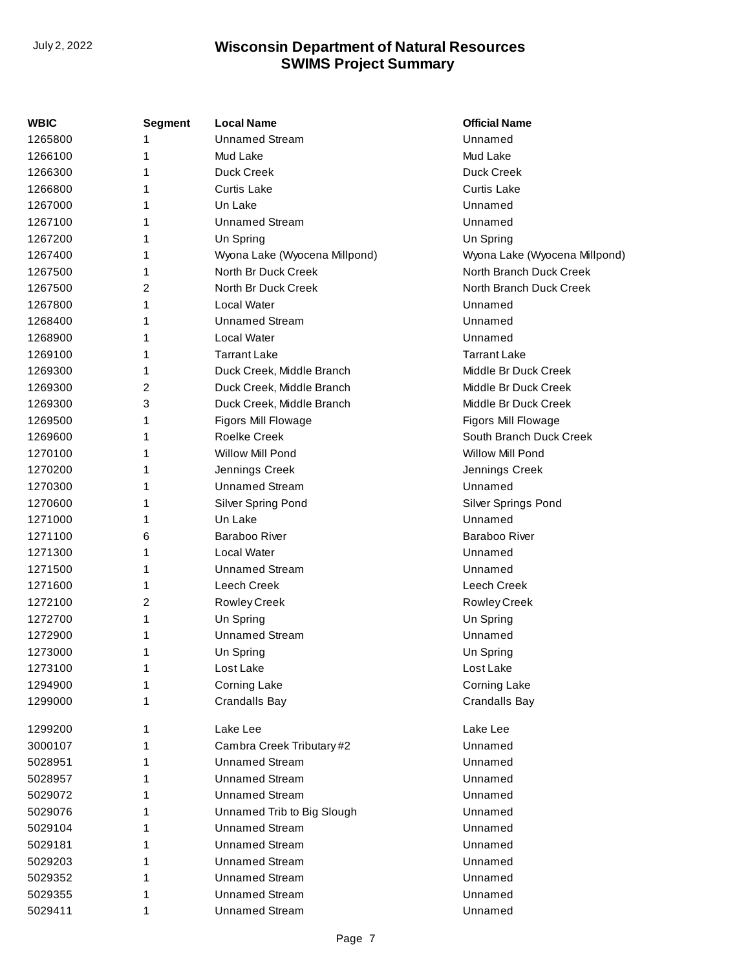| WBIC    | Segment | <b>Local Name</b>             | <b>Official Name</b>          |
|---------|---------|-------------------------------|-------------------------------|
| 1265800 |         | <b>Unnamed Stream</b>         | Unnamed                       |
| 1266100 | 1       | Mud Lake                      | Mud Lake                      |
| 1266300 | 1       | Duck Creek                    | Duck Creek                    |
| 1266800 | 1       | <b>Curtis Lake</b>            | <b>Curtis Lake</b>            |
| 1267000 | 1       | Un Lake                       | Unnamed                       |
| 1267100 | 1       | <b>Unnamed Stream</b>         | Unnamed                       |
| 1267200 | 1       | Un Spring                     | Un Spring                     |
| 1267400 | 1       | Wyona Lake (Wyocena Millpond) | Wyona Lake (Wyocena Millpond) |
| 1267500 | 1       | North Br Duck Creek           | North Branch Duck Creek       |
| 1267500 | 2       | North Br Duck Creek           | North Branch Duck Creek       |
| 1267800 | 1       | Local Water                   | Unnamed                       |
| 1268400 | 1       | <b>Unnamed Stream</b>         | Unnamed                       |
| 1268900 | 1       | Local Water                   | Unnamed                       |
| 1269100 | 1       | <b>Tarrant Lake</b>           | <b>Tarrant Lake</b>           |
| 1269300 | 1       | Duck Creek, Middle Branch     | Middle Br Duck Creek          |
| 1269300 | 2       | Duck Creek, Middle Branch     | Middle Br Duck Creek          |
| 1269300 | 3       | Duck Creek, Middle Branch     | Middle Br Duck Creek          |
| 1269500 | 1       | Figors Mill Flowage           | Figors Mill Flowage           |
| 1269600 | 1       | <b>Roelke Creek</b>           | South Branch Duck Creek       |
| 1270100 | 1       | Willow Mill Pond              | Willow Mill Pond              |
| 1270200 | 1       | Jennings Creek                | Jennings Creek                |
| 1270300 | 1       | <b>Unnamed Stream</b>         | Unnamed                       |
| 1270600 | 1       | Silver Spring Pond            | Silver Springs Pond           |
| 1271000 | 1       | Un Lake                       | Unnamed                       |
| 1271100 | 6       | Baraboo River                 | Baraboo River                 |
| 1271300 | 1       | Local Water                   | Unnamed                       |
| 1271500 | 1       | <b>Unnamed Stream</b>         | Unnamed                       |
| 1271600 | 1       | Leech Creek                   | Leech Creek                   |
| 1272100 | 2       | <b>Rowley Creek</b>           | <b>Rowley Creek</b>           |
| 1272700 | 1       | Un Spring                     | Un Spring                     |
| 1272900 | 1       | <b>Unnamed Stream</b>         | Unnamed                       |
| 1273000 | 1       | Un Spring                     | Un Spring                     |
| 1273100 | 1       | Lost Lake                     | Lost Lake                     |
| 1294900 |         | <b>Corning Lake</b>           | Corning Lake                  |
| 1299000 | 1       | <b>Crandalls Bay</b>          | <b>Crandalls Bay</b>          |
| 1299200 | 1       | Lake Lee                      | Lake Lee                      |
| 3000107 |         | Cambra Creek Tributary #2     | Unnamed                       |
| 5028951 |         | <b>Unnamed Stream</b>         | Unnamed                       |
| 5028957 | 1       | <b>Unnamed Stream</b>         | Unnamed                       |
| 5029072 | 1       | <b>Unnamed Stream</b>         | Unnamed                       |
| 5029076 | 1       | Unnamed Trib to Big Slough    | Unnamed                       |
| 5029104 | 1       | <b>Unnamed Stream</b>         | Unnamed                       |
| 5029181 | 1       | <b>Unnamed Stream</b>         | Unnamed                       |
| 5029203 | 1       | <b>Unnamed Stream</b>         | Unnamed                       |
| 5029352 |         | <b>Unnamed Stream</b>         | Unnamed                       |
| 5029355 | 1       | <b>Unnamed Stream</b>         | Unnamed                       |
| 5029411 | 1       | <b>Unnamed Stream</b>         | Unnamed                       |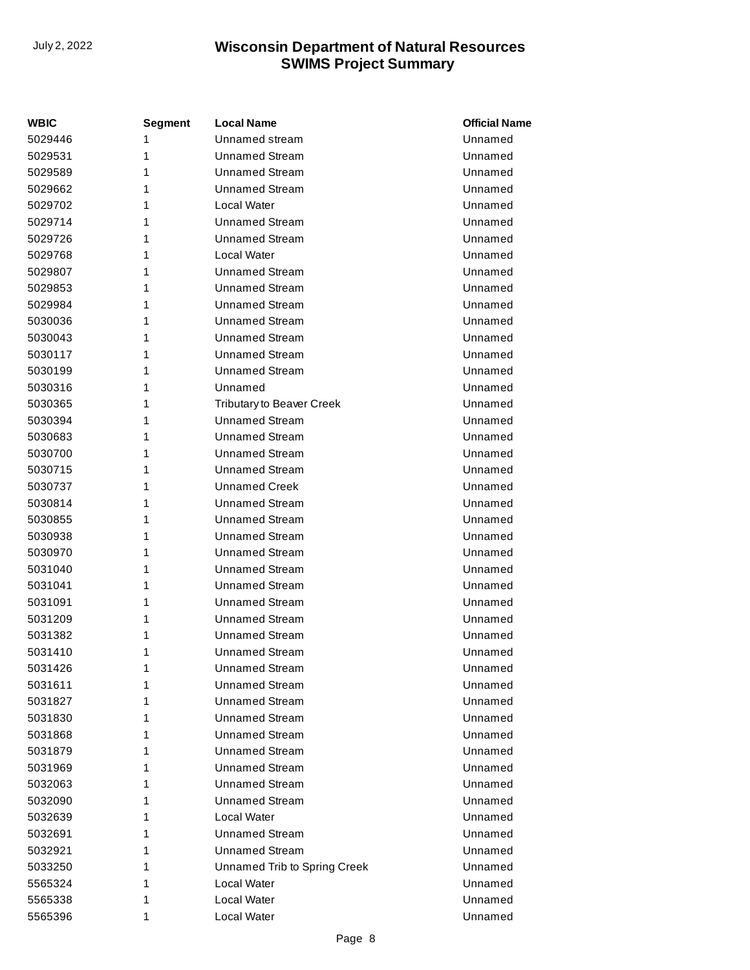| WBIC    | <b>Segment</b> | <b>Local Name</b>                | <b>Official Name</b> |
|---------|----------------|----------------------------------|----------------------|
| 5029446 | 1              | Unnamed stream                   | Unnamed              |
| 5029531 | 1              | <b>Unnamed Stream</b>            | Unnamed              |
| 5029589 | 1              | <b>Unnamed Stream</b>            | Unnamed              |
| 5029662 | 1              | <b>Unnamed Stream</b>            | Unnamed              |
| 5029702 | 1              | Local Water                      | Unnamed              |
| 5029714 | 1              | <b>Unnamed Stream</b>            | Unnamed              |
| 5029726 | 1              | <b>Unnamed Stream</b>            | Unnamed              |
| 5029768 | 1              | Local Water                      | Unnamed              |
| 5029807 | 1              | <b>Unnamed Stream</b>            | Unnamed              |
| 5029853 | 1              | <b>Unnamed Stream</b>            | Unnamed              |
| 5029984 | 1              | <b>Unnamed Stream</b>            | Unnamed              |
| 5030036 | 1              | <b>Unnamed Stream</b>            | Unnamed              |
| 5030043 | 1              | <b>Unnamed Stream</b>            | Unnamed              |
| 5030117 | 1              | <b>Unnamed Stream</b>            | Unnamed              |
| 5030199 | 1              | <b>Unnamed Stream</b>            | Unnamed              |
| 5030316 | 1              | Unnamed                          | Unnamed              |
| 5030365 | 1              | <b>Tributary to Beaver Creek</b> | Unnamed              |
| 5030394 | 1              | <b>Unnamed Stream</b>            | Unnamed              |
| 5030683 | 1              | <b>Unnamed Stream</b>            | Unnamed              |
| 5030700 | 1              | <b>Unnamed Stream</b>            | Unnamed              |
| 5030715 | 1              | <b>Unnamed Stream</b>            | Unnamed              |
| 5030737 | 1              | <b>Unnamed Creek</b>             | Unnamed              |
| 5030814 | 1              | <b>Unnamed Stream</b>            | Unnamed              |
| 5030855 | 1              | <b>Unnamed Stream</b>            | Unnamed              |
| 5030938 | 1              | <b>Unnamed Stream</b>            | Unnamed              |
| 5030970 | 1              | <b>Unnamed Stream</b>            | Unnamed              |
| 5031040 | 1              | <b>Unnamed Stream</b>            | Unnamed              |
| 5031041 | 1              | <b>Unnamed Stream</b>            | Unnamed              |
| 5031091 | 1              | <b>Unnamed Stream</b>            | Unnamed              |
| 5031209 | 1              | <b>Unnamed Stream</b>            | Unnamed              |
| 5031382 | 1              | <b>Unnamed Stream</b>            | Unnamed              |
| 5031410 | 1              | <b>Unnamed Stream</b>            | Unnamed              |
| 5031426 | 1              | <b>Unnamed Stream</b>            | Unnamed              |
| 5031611 | 1              | Unnamed Stream                   | Unnamed              |
| 5031827 | 1              | <b>Unnamed Stream</b>            | Unnamed              |
| 5031830 | 1              | <b>Unnamed Stream</b>            | Unnamed              |
| 5031868 | 1              | <b>Unnamed Stream</b>            | Unnamed              |
| 5031879 | 1              | <b>Unnamed Stream</b>            | Unnamed              |
| 5031969 | 1              | <b>Unnamed Stream</b>            | Unnamed              |
| 5032063 | 1              | <b>Unnamed Stream</b>            | Unnamed              |
| 5032090 | 1              | <b>Unnamed Stream</b>            | Unnamed              |
| 5032639 | 1              | Local Water                      | Unnamed              |
| 5032691 | 1              | <b>Unnamed Stream</b>            | Unnamed              |
| 5032921 | 1              | <b>Unnamed Stream</b>            | Unnamed              |
| 5033250 | 1              | Unnamed Trib to Spring Creek     | Unnamed              |
| 5565324 | 1              | Local Water                      | Unnamed              |
| 5565338 | 1              | Local Water                      | Unnamed              |
| 5565396 | 1              | Local Water                      | Unnamed              |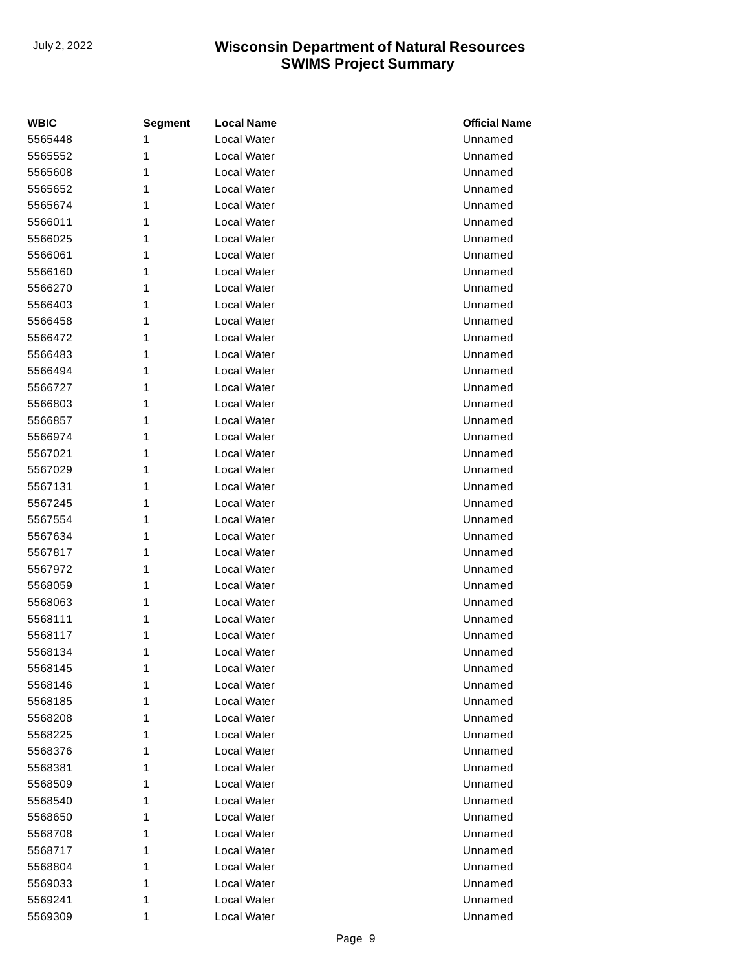| <b>WBIC</b> | <b>Segment</b> | <b>Local Name</b> | <b>Official Name</b> |
|-------------|----------------|-------------------|----------------------|
| 5565448     | 1              | Local Water       | Unnamed              |
| 5565552     | 1              | Local Water       | Unnamed              |
| 5565608     | 1              | Local Water       | Unnamed              |
| 5565652     | 1              | Local Water       | Unnamed              |
| 5565674     | 1              | Local Water       | Unnamed              |
| 5566011     | 1              | Local Water       | Unnamed              |
| 5566025     | 1              | Local Water       | Unnamed              |
| 5566061     | 1              | Local Water       | Unnamed              |
| 5566160     | 1              | Local Water       | Unnamed              |
| 5566270     | 1              | Local Water       | Unnamed              |
| 5566403     | 1              | Local Water       | Unnamed              |
| 5566458     | 1              | Local Water       | Unnamed              |
| 5566472     | 1              | Local Water       | Unnamed              |
| 5566483     | 1              | Local Water       | Unnamed              |
| 5566494     | 1              | Local Water       | Unnamed              |
| 5566727     | 1              | Local Water       | Unnamed              |
| 5566803     | 1              | Local Water       | Unnamed              |
| 5566857     | 1              | Local Water       | Unnamed              |
| 5566974     | 1              | Local Water       | Unnamed              |
| 5567021     | 1              | Local Water       | Unnamed              |
| 5567029     | 1              | Local Water       | Unnamed              |
| 5567131     | 1              | Local Water       | Unnamed              |
| 5567245     | 1              | Local Water       | Unnamed              |
| 5567554     | 1              | Local Water       | Unnamed              |
| 5567634     | 1              | Local Water       | Unnamed              |
| 5567817     | 1              | Local Water       | Unnamed              |
| 5567972     | 1              | Local Water       | Unnamed              |
| 5568059     | 1              | Local Water       | Unnamed              |
| 5568063     | 1              | Local Water       | Unnamed              |
| 5568111     | 1              | Local Water       | Unnamed              |
| 5568117     | 1              | Local Water       | Unnamed              |
| 5568134     | 1              | Local Water       | Unnamed              |
| 5568145     | 1              | Local Water       | Unnamed              |
| 5568146     | 1              | Local Water       | Unnamed              |
| 5568185     | 1              | Local Water       | Unnamed              |
| 5568208     | 1              | Local Water       | Unnamed              |
| 5568225     | 1              | Local Water       | Unnamed              |
| 5568376     | 1              | Local Water       | Unnamed              |
| 5568381     | 1              | Local Water       | Unnamed              |
| 5568509     | 1              | Local Water       | Unnamed              |
| 5568540     | 1              | Local Water       | Unnamed              |
| 5568650     | 1              | Local Water       | Unnamed              |
| 5568708     | 1              | Local Water       | Unnamed              |
| 5568717     | 1              | Local Water       | Unnamed              |
| 5568804     | 1              | Local Water       | Unnamed              |
| 5569033     | 1              | Local Water       | Unnamed              |
| 5569241     | 1              | Local Water       | Unnamed              |
| 5569309     | 1              | Local Water       | Unnamed              |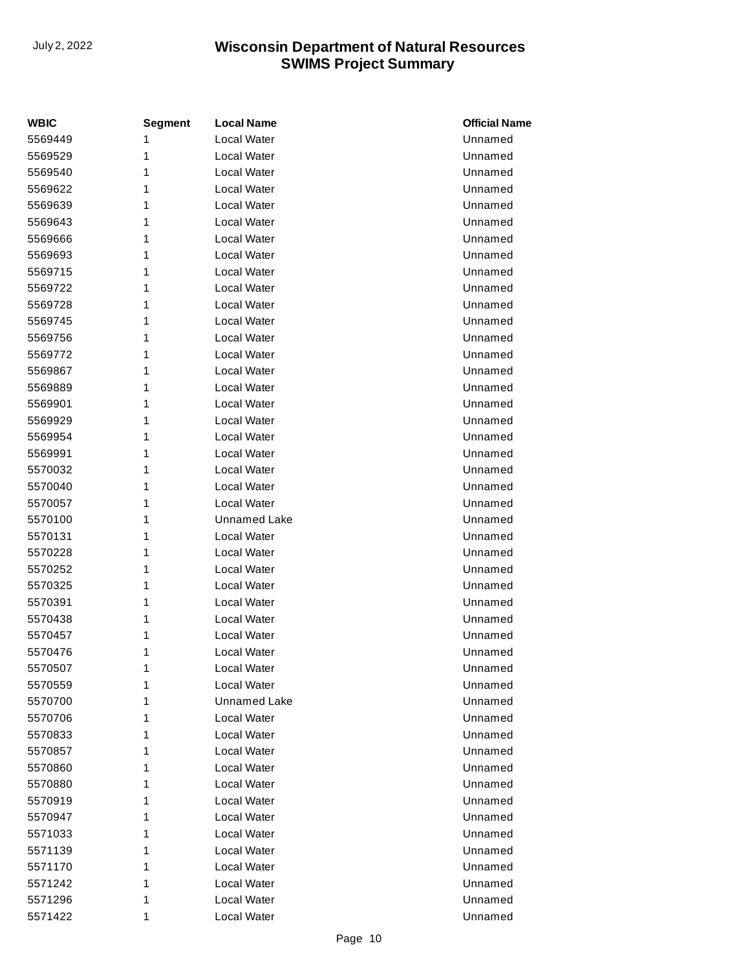| <b>WBIC</b> | <b>Segment</b> | <b>Local Name</b>   | <b>Official Name</b> |
|-------------|----------------|---------------------|----------------------|
| 5569449     | 1              | Local Water         | Unnamed              |
| 5569529     | 1              | Local Water         | Unnamed              |
| 5569540     | 1              | Local Water         | Unnamed              |
| 5569622     | 1              | Local Water         | Unnamed              |
| 5569639     | 1              | Local Water         | Unnamed              |
| 5569643     | 1              | <b>Local Water</b>  | Unnamed              |
| 5569666     | 1              | Local Water         | Unnamed              |
| 5569693     | 1              | Local Water         | Unnamed              |
| 5569715     | 1              | Local Water         | Unnamed              |
| 5569722     | 1              | <b>Local Water</b>  | Unnamed              |
| 5569728     | 1              | Local Water         | Unnamed              |
| 5569745     | 1              | Local Water         | Unnamed              |
| 5569756     | 1              | Local Water         | Unnamed              |
| 5569772     | 1              | <b>Local Water</b>  | Unnamed              |
| 5569867     | 1              | <b>Local Water</b>  | Unnamed              |
| 5569889     | 1              | Local Water         | Unnamed              |
| 5569901     | 1              | Local Water         | Unnamed              |
| 5569929     | 1              | <b>Local Water</b>  | Unnamed              |
| 5569954     | 1              | Local Water         | Unnamed              |
| 5569991     | 1              | Local Water         | Unnamed              |
| 5570032     | 1              | Local Water         | Unnamed              |
| 5570040     | 1              | <b>Local Water</b>  | Unnamed              |
| 5570057     | 1              | Local Water         | Unnamed              |
| 5570100     | 1              | <b>Unnamed Lake</b> | Unnamed              |
| 5570131     | 1              | Local Water         | Unnamed              |
| 5570228     | 1              | <b>Local Water</b>  | Unnamed              |
| 5570252     | 1              | Local Water         | Unnamed              |
| 5570325     | 1              | Local Water         | Unnamed              |
| 5570391     | 1              | Local Water         | Unnamed              |
| 5570438     | 1              | Local Water         | Unnamed              |
| 5570457     | 1              | Local Water         | Unnamed              |
| 5570476     | 1              | Local Water         | Unnamed              |
| 5570507     | 1              | Local Water         | Unnamed              |
| 5570559     | 1              | Local Water         | Unnamed              |
| 5570700     | 1              | <b>Unnamed Lake</b> | Unnamed              |
| 5570706     | 1              | Local Water         | Unnamed              |
| 5570833     | 1              | Local Water         | Unnamed              |
| 5570857     | 1              | Local Water         | Unnamed              |
| 5570860     | 1              | Local Water         | Unnamed              |
| 5570880     | 1              | Local Water         | Unnamed              |
| 5570919     | 1              | Local Water         | Unnamed              |
| 5570947     | 1              | Local Water         | Unnamed              |
| 5571033     | 1              | Local Water         | Unnamed              |
| 5571139     | 1              | Local Water         | Unnamed              |
| 5571170     | 1              | Local Water         | Unnamed              |
| 5571242     | 1              | Local Water         | Unnamed              |
| 5571296     | 1              | Local Water         | Unnamed              |
| 5571422     | 1              | Local Water         | Unnamed              |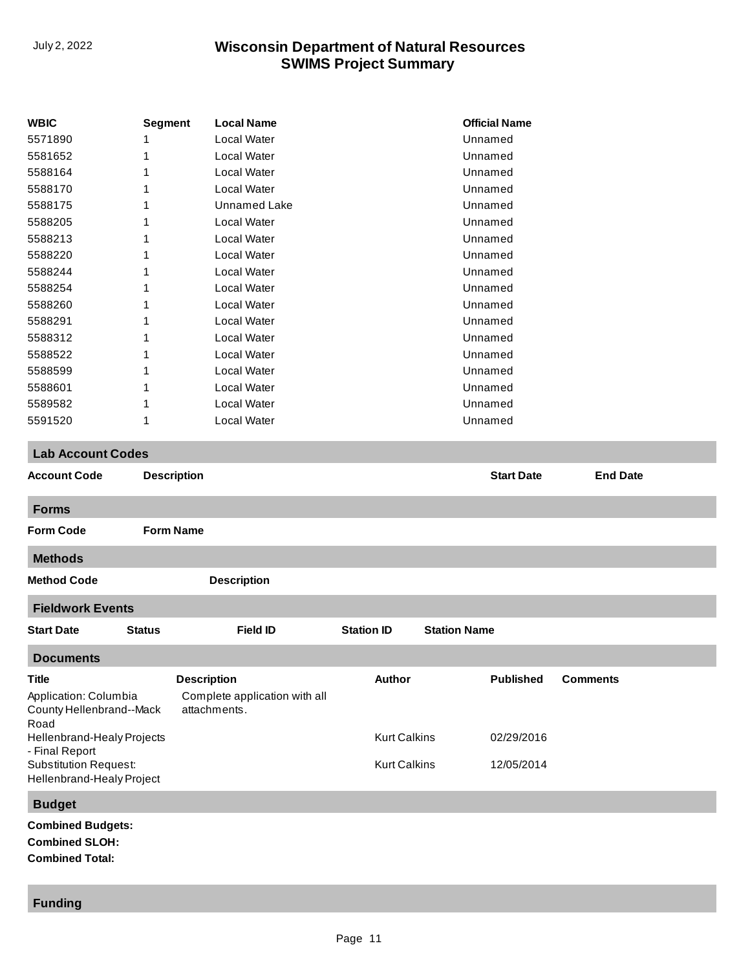|                                                           |                    |                                               |                     |                     | <b>Official Name</b> |                 |
|-----------------------------------------------------------|--------------------|-----------------------------------------------|---------------------|---------------------|----------------------|-----------------|
| <b>WBIC</b>                                               | <b>Segment</b>     | <b>Local Name</b><br><b>Local Water</b>       |                     |                     | Unnamed              |                 |
| 5571890                                                   | 1                  | <b>Local Water</b>                            |                     |                     |                      |                 |
| 5581652                                                   | 1                  |                                               |                     |                     | Unnamed              |                 |
| 5588164                                                   |                    | <b>Local Water</b>                            |                     |                     | Unnamed              |                 |
| 5588170                                                   | 1                  | <b>Local Water</b>                            |                     |                     | Unnamed              |                 |
| 5588175                                                   | 1                  | <b>Unnamed Lake</b>                           |                     |                     | Unnamed              |                 |
| 5588205                                                   | 1                  | Local Water                                   |                     |                     | Unnamed              |                 |
| 5588213                                                   | 1                  | Local Water                                   |                     |                     | Unnamed              |                 |
| 5588220                                                   | 1                  | <b>Local Water</b>                            |                     |                     | Unnamed              |                 |
| 5588244                                                   | 1                  | <b>Local Water</b>                            |                     |                     | Unnamed              |                 |
| 5588254                                                   | 1                  | <b>Local Water</b>                            |                     |                     | Unnamed              |                 |
| 5588260                                                   |                    | <b>Local Water</b>                            |                     |                     | Unnamed              |                 |
| 5588291                                                   | 1                  | <b>Local Water</b>                            |                     |                     | Unnamed              |                 |
| 5588312                                                   | 1                  | <b>Local Water</b>                            |                     |                     | Unnamed              |                 |
| 5588522                                                   | 1                  | <b>Local Water</b>                            |                     |                     | Unnamed              |                 |
| 5588599                                                   | 1                  | Local Water                                   |                     |                     | Unnamed              |                 |
| 5588601                                                   | 1                  | <b>Local Water</b>                            |                     |                     | Unnamed              |                 |
| 5589582                                                   | 1                  | Local Water                                   |                     |                     | Unnamed              |                 |
| 5591520                                                   | 1                  | Local Water                                   |                     |                     | Unnamed              |                 |
| <b>Lab Account Codes</b>                                  |                    |                                               |                     |                     |                      |                 |
| <b>Account Code</b>                                       | <b>Description</b> |                                               |                     |                     | <b>Start Date</b>    | <b>End Date</b> |
|                                                           |                    |                                               |                     |                     |                      |                 |
| <b>Forms</b>                                              |                    |                                               |                     |                     |                      |                 |
| <b>Form Code</b>                                          | <b>Form Name</b>   |                                               |                     |                     |                      |                 |
| <b>Methods</b>                                            |                    |                                               |                     |                     |                      |                 |
| <b>Method Code</b>                                        |                    | <b>Description</b>                            |                     |                     |                      |                 |
| <b>Fieldwork Events</b>                                   |                    |                                               |                     |                     |                      |                 |
| <b>Start Date</b>                                         | <b>Status</b>      | <b>Field ID</b>                               | <b>Station ID</b>   |                     | <b>Station Name</b>  |                 |
| <b>Documents</b>                                          |                    |                                               |                     |                     |                      |                 |
| Title                                                     |                    |                                               | Author              |                     | <b>Published</b>     | <b>Comments</b> |
|                                                           |                    | <b>Description</b>                            |                     |                     |                      |                 |
| Application: Columbia<br>County Hellenbrand--Mack         |                    | Complete application with all<br>attachments. |                     |                     |                      |                 |
| Road                                                      |                    |                                               |                     |                     |                      |                 |
| Hellenbrand-Healy Projects                                |                    |                                               |                     | <b>Kurt Calkins</b> | 02/29/2016           |                 |
| - Final Report                                            |                    |                                               |                     |                     |                      |                 |
| <b>Substitution Request:</b><br>Hellenbrand-Healy Project |                    |                                               | <b>Kurt Calkins</b> |                     | 12/05/2014           |                 |
| <b>Budget</b>                                             |                    |                                               |                     |                     |                      |                 |
|                                                           |                    |                                               |                     |                     |                      |                 |
| <b>Combined Budgets:</b><br><b>Combined SLOH:</b>         |                    |                                               |                     |                     |                      |                 |
|                                                           |                    |                                               |                     |                     |                      |                 |

**Combined Total:**

#### **Funding**